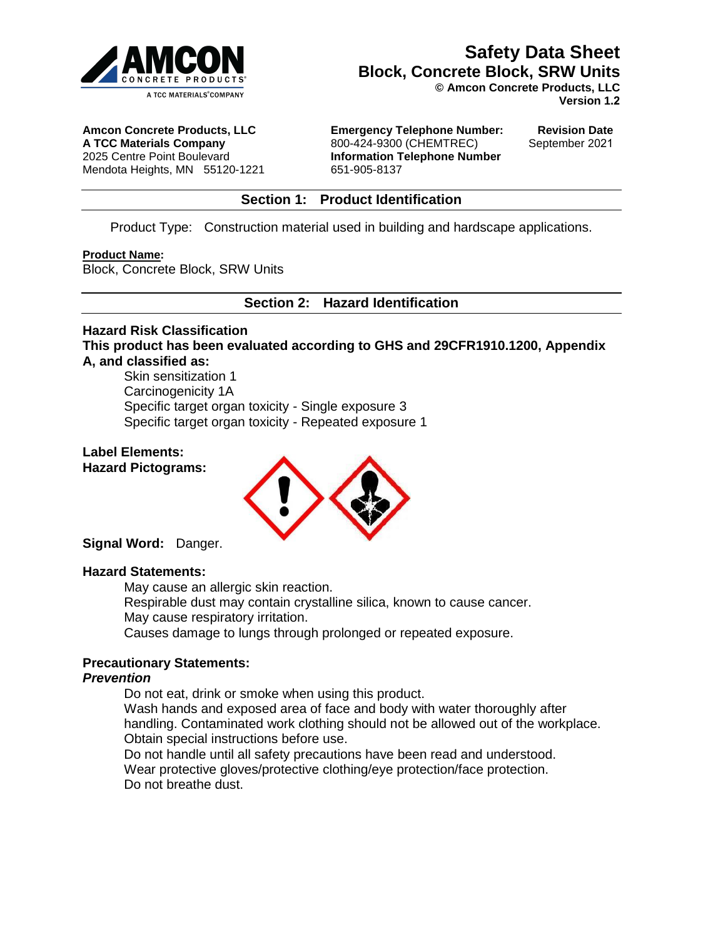

**© Amcon Concrete Products, LLC Version 1.2**

**Amcon Concrete Products, LLC A TCC Materials Company** 

2025 Centre Point Boulevard

Mendota Heights, MN 55120-1221 651-905-8137

**Emergency Telephone Number:**  800-424-9300 (CHEMTREC) **Information Telephone Number**

**Revision Date**  September 2021

#### **Section 1: Product Identification**

Product Type: Construction material used in building and hardscape applications.

#### **Product Name:**

Block, Concrete Block, SRW Units

**Section 2: Hazard Identification**

#### **Hazard Risk Classification**

**This product has been evaluated according to GHS and 29CFR1910.1200, Appendix A, and classified as:** 

Skin sensitization 1 Carcinogenicity 1A Specific target organ toxicity - Single exposure 3 Specific target organ toxicity - Repeated exposure 1

#### **Label Elements: Hazard Pictograms:**



**Signal Word:** Danger.

#### **Hazard Statements:**

May cause an allergic skin reaction. Respirable dust may contain crystalline silica, known to cause cancer. May cause respiratory irritation.

Causes damage to lungs through prolonged or repeated exposure.

#### **Precautionary Statements:**

#### *Prevention*

Do not eat, drink or smoke when using this product.

Wash hands and exposed area of face and body with water thoroughly after handling. Contaminated work clothing should not be allowed out of the workplace. Obtain special instructions before use.

Do not handle until all safety precautions have been read and understood. Wear protective gloves/protective clothing/eye protection/face protection. Do not breathe dust.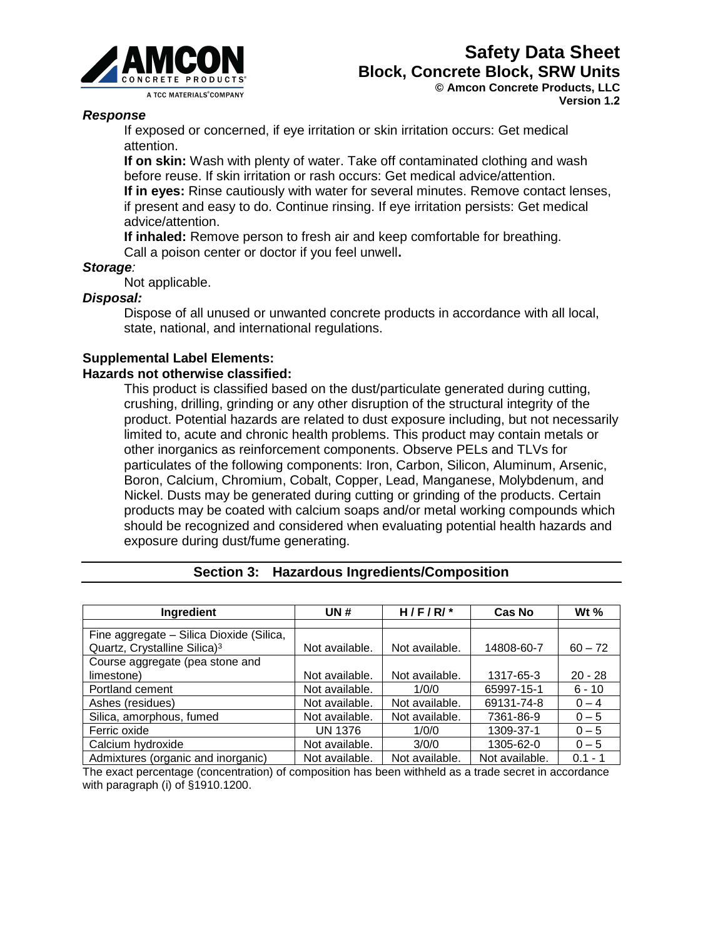

#### **Version 1.2**

#### *Response*

If exposed or concerned, if eye irritation or skin irritation occurs: Get medical attention.

**If on skin:** Wash with plenty of water. Take off contaminated clothing and wash before reuse. If skin irritation or rash occurs: Get medical advice/attention. **If in eyes:** Rinse cautiously with water for several minutes. Remove contact lenses, if present and easy to do. Continue rinsing. If eye irritation persists: Get medical advice/attention.

**If inhaled:** Remove person to fresh air and keep comfortable for breathing. Call a poison center or doctor if you feel unwell**.** 

#### *Storage:*

Not applicable.

#### *Disposal:*

Dispose of all unused or unwanted concrete products in accordance with all local, state, national, and international regulations.

#### **Supplemental Label Elements:**

#### **Hazards not otherwise classified:**

This product is classified based on the dust/particulate generated during cutting, crushing, drilling, grinding or any other disruption of the structural integrity of the product. Potential hazards are related to dust exposure including, but not necessarily limited to, acute and chronic health problems. This product may contain metals or other inorganics as reinforcement components. Observe PELs and TLVs for particulates of the following components: Iron, Carbon, Silicon, Aluminum, Arsenic, Boron, Calcium, Chromium, Cobalt, Copper, Lead, Manganese, Molybdenum, and Nickel. Dusts may be generated during cutting or grinding of the products. Certain products may be coated with calcium soaps and/or metal working compounds which should be recognized and considered when evaluating potential health hazards and exposure during dust/fume generating.

| Ingredient                               | UN#            | $H/F/R/*$      | Cas No         | Wt $%$    |
|------------------------------------------|----------------|----------------|----------------|-----------|
|                                          |                |                |                |           |
| Fine aggregate – Silica Dioxide (Silica, |                |                |                |           |
| Quartz, Crystalline Silica) <sup>3</sup> | Not available. | Not available. | 14808-60-7     | $60 - 72$ |
| Course aggregate (pea stone and          |                |                |                |           |
| limestone)                               | Not available. | Not available. | 1317-65-3      | $20 - 28$ |
| Portland cement                          | Not available. | 1/0/0          | 65997-15-1     | $6 - 10$  |
| Ashes (residues)                         | Not available. | Not available. | 69131-74-8     | $0 - 4$   |
| Silica, amorphous, fumed                 | Not available. | Not available. | 7361-86-9      | $0 - 5$   |
| Ferric oxide                             | UN 1376        | 1/0/0          | 1309-37-1      | $0 - 5$   |
| Calcium hydroxide                        | Not available. | 3/0/0          | 1305-62-0      | $0 - 5$   |
| Admixtures (organic and inorganic)       | Not available. | Not available. | Not available. | $0.1 - 1$ |

|  |  | Section 3: Hazardous Ingredients/Composition |  |
|--|--|----------------------------------------------|--|
|--|--|----------------------------------------------|--|

The exact percentage (concentration) of composition has been withheld as a trade secret in accordance with paragraph (i) of §1910.1200.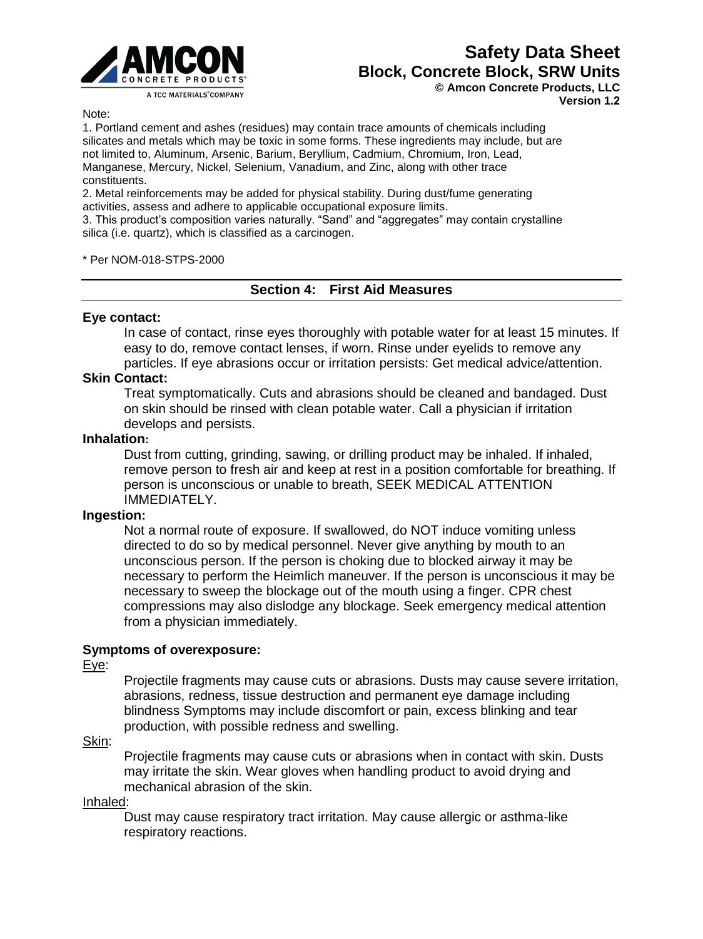

**Version 1.2**

Note:

1. Portland cement and ashes (residues) may contain trace amounts of chemicals including silicates and metals which may be toxic in some forms. These ingredients may include, but are not limited to, Aluminum, Arsenic, Barium, Beryllium, Cadmium, Chromium, Iron, Lead, Manganese, Mercury, Nickel, Selenium, Vanadium, and Zinc, along with other trace constituents.

2. Metal reinforcements may be added for physical stability. During dust/fume generating activities, assess and adhere to applicable occupational exposure limits.

3. This product's composition varies naturally. "Sand" and "aggregates" may contain crystalline silica (i.e. quartz), which is classified as a carcinogen.

\* Per NOM-018-STPS-2000

#### **Section 4: First Aid Measures**

#### **Eye contact:**

In case of contact, rinse eyes thoroughly with potable water for at least 15 minutes. If easy to do, remove contact lenses, if worn. Rinse under eyelids to remove any particles. If eye abrasions occur or irritation persists: Get medical advice/attention.

#### **Skin Contact:**

Treat symptomatically. Cuts and abrasions should be cleaned and bandaged. Dust on skin should be rinsed with clean potable water. Call a physician if irritation develops and persists.

#### **Inhalation:**

Dust from cutting, grinding, sawing, or drilling product may be inhaled. If inhaled, remove person to fresh air and keep at rest in a position comfortable for breathing. If person is unconscious or unable to breath, SEEK MEDICAL ATTENTION IMMEDIATELY.

#### **Ingestion:**

Not a normal route of exposure. If swallowed, do NOT induce vomiting unless directed to do so by medical personnel. Never give anything by mouth to an unconscious person. If the person is choking due to blocked airway it may be necessary to perform the Heimlich maneuver. If the person is unconscious it may be necessary to sweep the blockage out of the mouth using a finger. CPR chest compressions may also dislodge any blockage. Seek emergency medical attention from a physician immediately.

#### **Symptoms of overexposure:**

#### Eye:

Projectile fragments may cause cuts or abrasions. Dusts may cause severe irritation, abrasions, redness, tissue destruction and permanent eye damage including blindness Symptoms may include discomfort or pain, excess blinking and tear production, with possible redness and swelling.

Skin:

Projectile fragments may cause cuts or abrasions when in contact with skin. Dusts may irritate the skin. Wear gloves when handling product to avoid drying and mechanical abrasion of the skin.

#### Inhaled:

Dust may cause respiratory tract irritation. May cause allergic or asthma-like respiratory reactions.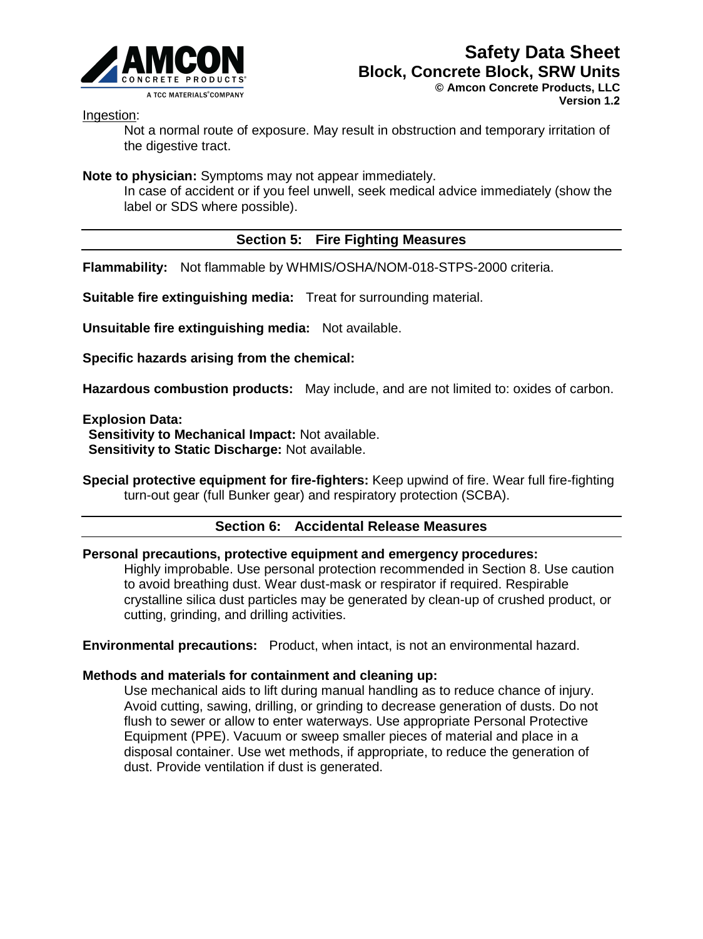

Ingestion:

Not a normal route of exposure. May result in obstruction and temporary irritation of the digestive tract.

**Note to physician:** Symptoms may not appear immediately.

In case of accident or if you feel unwell, seek medical advice immediately (show the label or SDS where possible).

## **Section 5: Fire Fighting Measures**

**Flammability:** Not flammable by WHMIS/OSHA/NOM-018-STPS-2000 criteria.

**Suitable fire extinguishing media:** Treat for surrounding material.

**Unsuitable fire extinguishing media:** Not available.

**Specific hazards arising from the chemical:**

**Hazardous combustion products:** May include, and are not limited to: oxides of carbon.

**Explosion Data:** 

**Sensitivity to Mechanical Impact:** Not available. **Sensitivity to Static Discharge:** Not available.

**Special protective equipment for fire-fighters:** Keep upwind of fire. Wear full fire-fighting turn-out gear (full Bunker gear) and respiratory protection (SCBA).

#### **Section 6: Accidental Release Measures**

#### **Personal precautions, protective equipment and emergency procedures:**

Highly improbable. Use personal protection recommended in Section 8. Use caution to avoid breathing dust. Wear dust-mask or respirator if required. Respirable crystalline silica dust particles may be generated by clean-up of crushed product, or cutting, grinding, and drilling activities.

**Environmental precautions:** Product, when intact, is not an environmental hazard.

#### **Methods and materials for containment and cleaning up:**

Use mechanical aids to lift during manual handling as to reduce chance of injury. Avoid cutting, sawing, drilling, or grinding to decrease generation of dusts. Do not flush to sewer or allow to enter waterways. Use appropriate Personal Protective Equipment (PPE). Vacuum or sweep smaller pieces of material and place in a disposal container. Use wet methods, if appropriate, to reduce the generation of dust. Provide ventilation if dust is generated.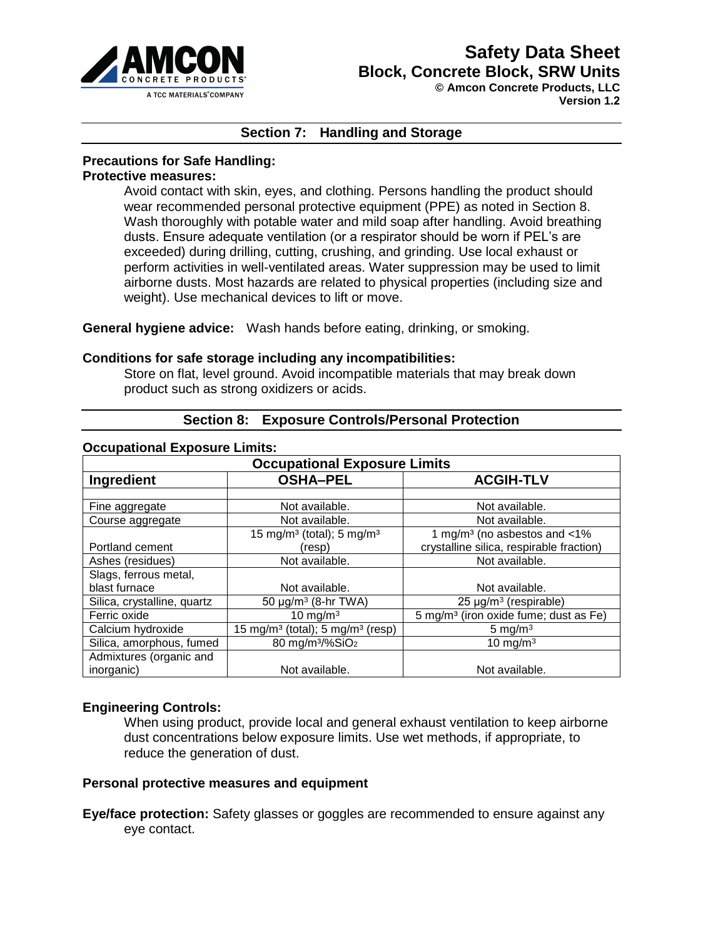

**Version 1.2**

#### **Section 7: Handling and Storage**

#### **Precautions for Safe Handling:**

#### **Protective measures:**

Avoid contact with skin, eyes, and clothing. Persons handling the product should wear recommended personal protective equipment (PPE) as noted in Section 8. Wash thoroughly with potable water and mild soap after handling. Avoid breathing dusts. Ensure adequate ventilation (or a respirator should be worn if PEL's are exceeded) during drilling, cutting, crushing, and grinding. Use local exhaust or perform activities in well-ventilated areas. Water suppression may be used to limit airborne dusts. Most hazards are related to physical properties (including size and weight). Use mechanical devices to lift or move.

**General hygiene advice:** Wash hands before eating, drinking, or smoking.

#### **Conditions for safe storage including any incompatibilities:**

Store on flat, level ground. Avoid incompatible materials that may break down product such as strong oxidizers or acids.

| <b>Occupational Exposure Limits:</b> |                                                          |                                                   |  |  |
|--------------------------------------|----------------------------------------------------------|---------------------------------------------------|--|--|
| <b>Occupational Exposure Limits</b>  |                                                          |                                                   |  |  |
| Ingredient                           | <b>OSHA-PEL</b>                                          | <b>ACGIH-TLV</b>                                  |  |  |
|                                      |                                                          |                                                   |  |  |
| Fine aggregate                       | Not available.                                           | Not available.                                    |  |  |
| Course aggregate                     | Not available.                                           | Not available.                                    |  |  |
|                                      | 15 mg/m <sup>3</sup> (total); 5 mg/m <sup>3</sup>        | 1 mg/m <sup>3</sup> (no asbestos and $\lt 1\%$    |  |  |
| Portland cement                      | (resp)                                                   | crystalline silica, respirable fraction)          |  |  |
| Ashes (residues)                     | Not available.                                           | Not available.                                    |  |  |
| Slags, ferrous metal,                |                                                          |                                                   |  |  |
| blast furnace                        | Not available.                                           | Not available.                                    |  |  |
| Silica, crystalline, quartz          | 50 $\mu$ g/m <sup>3</sup> (8-hr TWA)                     | $25 \mu g/m3$ (respirable)                        |  |  |
| Ferric oxide                         | 10 mg/m $3$                                              | 5 mg/m <sup>3</sup> (iron oxide fume; dust as Fe) |  |  |
| Calcium hydroxide                    | 15 mg/m <sup>3</sup> (total); 5 mg/m <sup>3</sup> (resp) | 5 mg/m $3$                                        |  |  |
| Silica, amorphous, fumed             | 80 mg/m <sup>3</sup> /%SiO <sub>2</sub>                  | 10 mg/m $3$                                       |  |  |
| Admixtures (organic and              |                                                          |                                                   |  |  |
| inorganic)                           | Not available.                                           | Not available.                                    |  |  |

#### **Section 8: Exposure Controls/Personal Protection**

#### **Engineering Controls:**

When using product, provide local and general exhaust ventilation to keep airborne dust concentrations below exposure limits. Use wet methods, if appropriate, to reduce the generation of dust.

#### **Personal protective measures and equipment**

**Eye/face protection:** Safety glasses or goggles are recommended to ensure against any eye contact.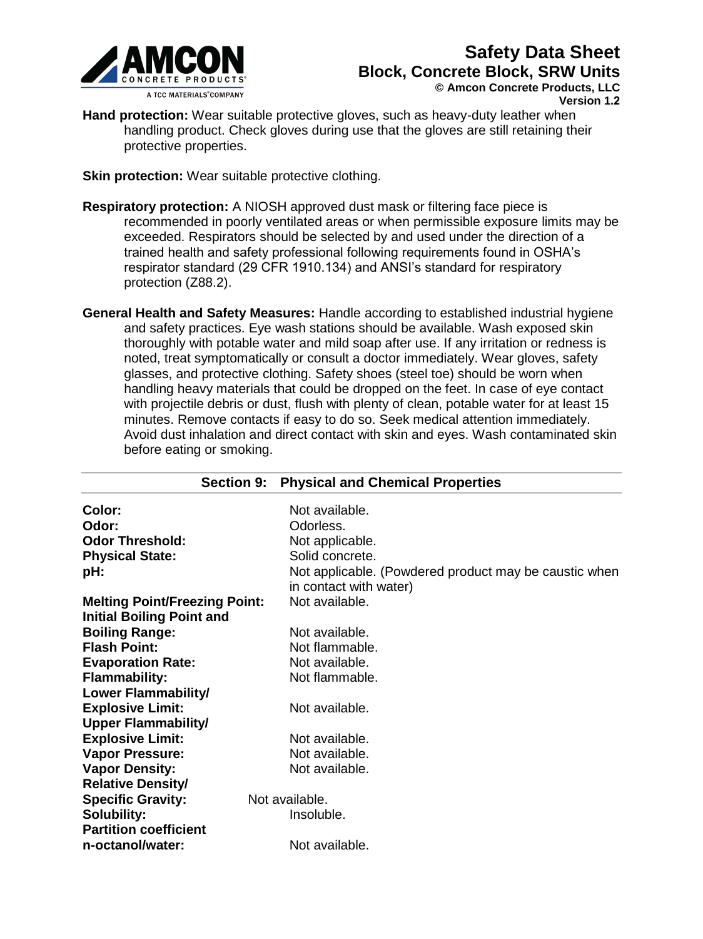

**Version 1.2**

**Hand protection:** Wear suitable protective gloves, such as heavy-duty leather when handling product. Check gloves during use that the gloves are still retaining their protective properties.

**Skin protection:** Wear suitable protective clothing.

- **Respiratory protection:** A NIOSH approved dust mask or filtering face piece is recommended in poorly ventilated areas or when permissible exposure limits may be exceeded. Respirators should be selected by and used under the direction of a trained health and safety professional following requirements found in OSHA's respirator standard (29 CFR 1910.134) and ANSI's standard for respiratory protection (Z88.2).
- **General Health and Safety Measures:** Handle according to established industrial hygiene and safety practices. Eye wash stations should be available. Wash exposed skin thoroughly with potable water and mild soap after use. If any irritation or redness is noted, treat symptomatically or consult a doctor immediately. Wear gloves, safety glasses, and protective clothing. Safety shoes (steel toe) should be worn when handling heavy materials that could be dropped on the feet. In case of eye contact with projectile debris or dust, flush with plenty of clean, potable water for at least 15 minutes. Remove contacts if easy to do so. Seek medical attention immediately. Avoid dust inhalation and direct contact with skin and eyes. Wash contaminated skin before eating or smoking.

| Color:<br>Odor:<br><b>Odor Threshold:</b><br><b>Physical State:</b><br>pH: | Not available.<br>Odorless.<br>Not applicable.<br>Solid concrete.<br>Not applicable. (Powdered product may be caustic when<br>in contact with water) |
|----------------------------------------------------------------------------|------------------------------------------------------------------------------------------------------------------------------------------------------|
| <b>Melting Point/Freezing Point:</b>                                       | Not available.                                                                                                                                       |
| <b>Initial Boiling Point and</b>                                           |                                                                                                                                                      |
| <b>Boiling Range:</b>                                                      | Not available.                                                                                                                                       |
| <b>Flash Point:</b>                                                        | Not flammable.                                                                                                                                       |
| <b>Evaporation Rate:</b>                                                   | Not available.                                                                                                                                       |
| <b>Flammability:</b>                                                       | Not flammable.                                                                                                                                       |
| Lower Flammability/                                                        |                                                                                                                                                      |
| <b>Explosive Limit:</b>                                                    | Not available.                                                                                                                                       |
| <b>Upper Flammability/</b>                                                 |                                                                                                                                                      |
| <b>Explosive Limit:</b>                                                    | Not available.                                                                                                                                       |
| <b>Vapor Pressure:</b>                                                     | Not available.                                                                                                                                       |
| <b>Vapor Density:</b>                                                      | Not available.                                                                                                                                       |
| <b>Relative Density/</b>                                                   |                                                                                                                                                      |
| <b>Specific Gravity:</b>                                                   | Not available.                                                                                                                                       |
| <b>Solubility:</b>                                                         | Insoluble.                                                                                                                                           |
| <b>Partition coefficient</b>                                               |                                                                                                                                                      |
| n-octanol/water:                                                           | Not available.                                                                                                                                       |

# **Section 9: Physical and Chemical Properties**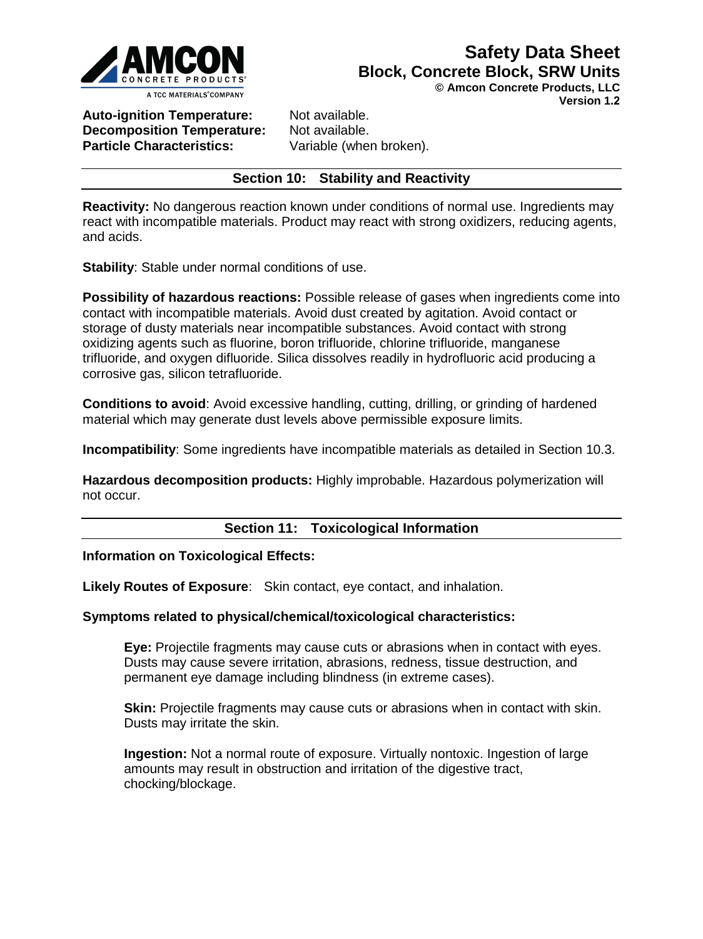

**© Amcon Concrete Products, LLC** 

**Version 1.2**

**Auto-ignition Temperature:** Not available. **Decomposition Temperature:** Not available. **Particle Characteristics:** Variable (when broken).

#### **Section 10: Stability and Reactivity**

**Reactivity:** No dangerous reaction known under conditions of normal use. Ingredients may react with incompatible materials. Product may react with strong oxidizers, reducing agents, and acids.

**Stability**: Stable under normal conditions of use.

**Possibility of hazardous reactions:** Possible release of gases when ingredients come into contact with incompatible materials. Avoid dust created by agitation. Avoid contact or storage of dusty materials near incompatible substances. Avoid contact with strong oxidizing agents such as fluorine, boron trifluoride, chlorine trifluoride, manganese trifluoride, and oxygen difluoride. Silica dissolves readily in hydrofluoric acid producing a corrosive gas, silicon tetrafluoride.

**Conditions to avoid**: Avoid excessive handling, cutting, drilling, or grinding of hardened material which may generate dust levels above permissible exposure limits.

**Incompatibility**: Some ingredients have incompatible materials as detailed in Section 10.3.

**Hazardous decomposition products:** Highly improbable. Hazardous polymerization will not occur.

#### **Section 11: Toxicological Information**

#### **Information on Toxicological Effects:**

**Likely Routes of Exposure**: Skin contact, eye contact, and inhalation.

#### **Symptoms related to physical/chemical/toxicological characteristics:**

**Eye:** Projectile fragments may cause cuts or abrasions when in contact with eyes. Dusts may cause severe irritation, abrasions, redness, tissue destruction, and permanent eye damage including blindness (in extreme cases).

**Skin:** Projectile fragments may cause cuts or abrasions when in contact with skin. Dusts may irritate the skin.

**Ingestion:** Not a normal route of exposure. Virtually nontoxic. Ingestion of large amounts may result in obstruction and irritation of the digestive tract, chocking/blockage.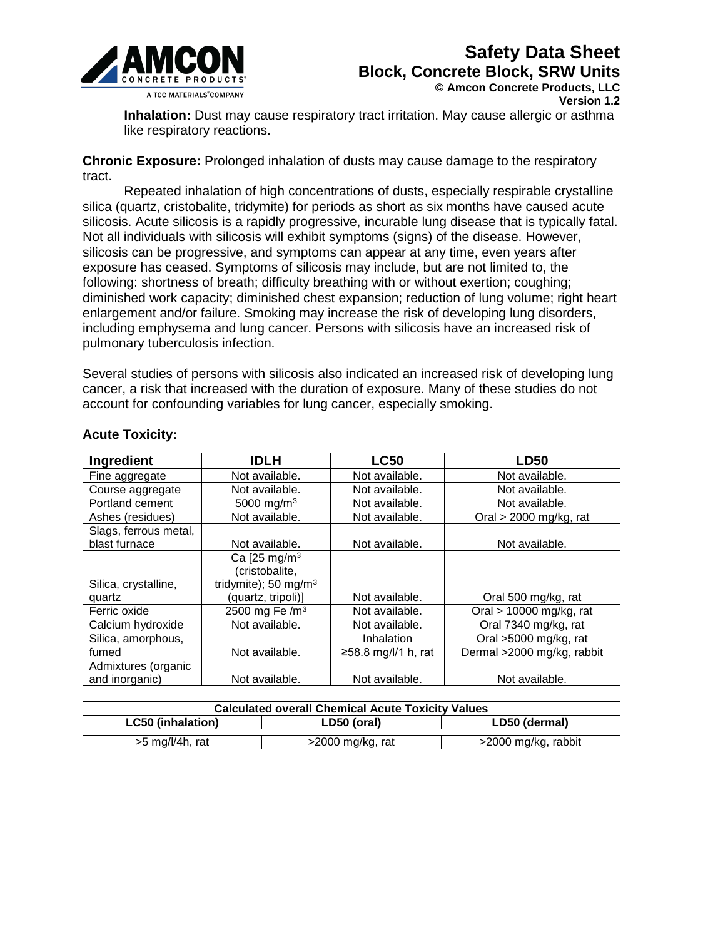

**© Amcon Concrete Products, LLC** 

**Version 1.2**

**Inhalation:** Dust may cause respiratory tract irritation. May cause allergic or asthma like respiratory reactions.

**Chronic Exposure:** Prolonged inhalation of dusts may cause damage to the respiratory tract.

Repeated inhalation of high concentrations of dusts, especially respirable crystalline silica (quartz, cristobalite, tridymite) for periods as short as six months have caused acute silicosis. Acute silicosis is a rapidly progressive, incurable lung disease that is typically fatal. Not all individuals with silicosis will exhibit symptoms (signs) of the disease. However, silicosis can be progressive, and symptoms can appear at any time, even years after exposure has ceased. Symptoms of silicosis may include, but are not limited to, the following: shortness of breath; difficulty breathing with or without exertion; coughing; diminished work capacity; diminished chest expansion; reduction of lung volume; right heart enlargement and/or failure. Smoking may increase the risk of developing lung disorders, including emphysema and lung cancer. Persons with silicosis have an increased risk of pulmonary tuberculosis infection.

Several studies of persons with silicosis also indicated an increased risk of developing lung cancer, a risk that increased with the duration of exposure. Many of these studies do not account for confounding variables for lung cancer, especially smoking.

| Ingredient            | <b>IDLH</b>                | <b>LC50</b>               | <b>LD50</b>                |
|-----------------------|----------------------------|---------------------------|----------------------------|
| Fine aggregate        | Not available.             | Not available.            | Not available.             |
| Course aggregate      | Not available.             | Not available.            | Not available.             |
| Portland cement       | 5000 mg/m <sup>3</sup>     | Not available.            | Not available.             |
| Ashes (residues)      | Not available.             | Not available.            | Oral $>$ 2000 mg/kg, rat   |
| Slags, ferrous metal, |                            |                           |                            |
| blast furnace         | Not available.             | Not available.            | Not available.             |
|                       | Ca [25 mg/m <sup>3</sup>   |                           |                            |
|                       | (cristobalite,             |                           |                            |
| Silica, crystalline,  | tridymite); 50 mg/m $3$    |                           |                            |
| quartz                | (quartz, tripoli)]         | Not available.            | Oral 500 mg/kg, rat        |
| Ferric oxide          | 2500 mg Fe /m <sup>3</sup> | Not available.            | Oral > 10000 mg/kg, rat    |
| Calcium hydroxide     | Not available.             | Not available.            | Oral 7340 mg/kg, rat       |
| Silica, amorphous,    |                            | Inhalation                | Oral >5000 mg/kg, rat      |
| fumed                 | Not available.             | $\geq$ 58.8 mg/l/1 h, rat | Dermal >2000 mg/kg, rabbit |
| Admixtures (organic   |                            |                           |                            |
| and inorganic)        | Not available.             | Not available.            | Not available.             |

#### **Acute Toxicity:**

| <b>Calculated overall Chemical Acute Toxicity Values</b> |                    |                     |  |
|----------------------------------------------------------|--------------------|---------------------|--|
| <b>LC50 (inhalation)</b><br>LD50 (dermal)<br>LD50 (oral) |                    |                     |  |
| $>5$ mg/l/4h, rat                                        | $>2000$ mg/kg, rat | >2000 mg/kg, rabbit |  |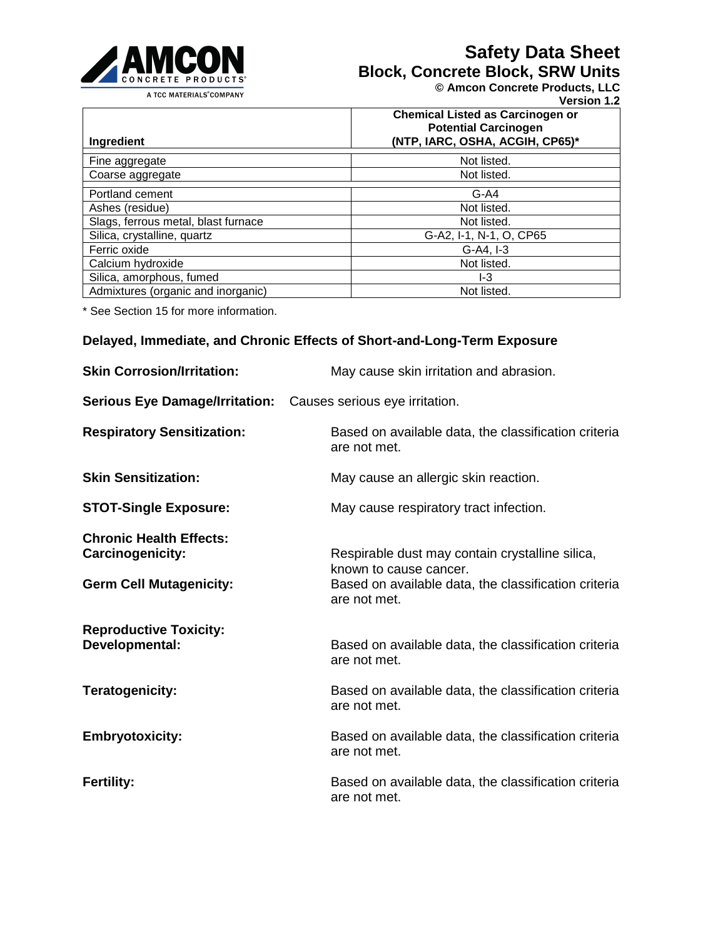

# **Safety Data Sheet**

**Block, Concrete Block, SRW Units**

**© Amcon Concrete Products, LLC** 

**Version 1.2**

|                                     | <b>Chemical Listed as Carcinogen or</b><br><b>Potential Carcinogen</b> |
|-------------------------------------|------------------------------------------------------------------------|
| Ingredient                          | (NTP, IARC, OSHA, ACGIH, CP65)*                                        |
| Fine aggregate                      | Not listed.                                                            |
| Coarse aggregate                    | Not listed.                                                            |
| Portland cement                     | $G-A4$                                                                 |
| Ashes (residue)                     | Not listed.                                                            |
| Slags, ferrous metal, blast furnace | Not listed.                                                            |
| Silica, crystalline, quartz         | G-A2, I-1, N-1, O, CP65                                                |
| Ferric oxide                        | $G-A4, I-3$                                                            |
| Calcium hydroxide                   | Not listed.                                                            |
| Silica, amorphous, fumed            | I-3                                                                    |
| Admixtures (organic and inorganic)  | Not listed.                                                            |

\* See Section 15 for more information.

## **Delayed, Immediate, and Chronic Effects of Short-and-Long-Term Exposure**

| <b>Skin Corrosion/Irritation:</b>                                                           | May cause skin irritation and abrasion.                                                                                                           |
|---------------------------------------------------------------------------------------------|---------------------------------------------------------------------------------------------------------------------------------------------------|
| <b>Serious Eye Damage/Irritation:</b>                                                       | Causes serious eye irritation.                                                                                                                    |
| <b>Respiratory Sensitization:</b>                                                           | Based on available data, the classification criteria<br>are not met.                                                                              |
| <b>Skin Sensitization:</b>                                                                  | May cause an allergic skin reaction.                                                                                                              |
| <b>STOT-Single Exposure:</b>                                                                | May cause respiratory tract infection.                                                                                                            |
| <b>Chronic Health Effects:</b><br><b>Carcinogenicity:</b><br><b>Germ Cell Mutagenicity:</b> | Respirable dust may contain crystalline silica,<br>known to cause cancer.<br>Based on available data, the classification criteria<br>are not met. |
| <b>Reproductive Toxicity:</b><br>Developmental:                                             | Based on available data, the classification criteria<br>are not met.                                                                              |
| <b>Teratogenicity:</b>                                                                      | Based on available data, the classification criteria<br>are not met.                                                                              |
| <b>Embryotoxicity:</b>                                                                      | Based on available data, the classification criteria<br>are not met.                                                                              |
| <b>Fertility:</b>                                                                           | Based on available data, the classification criteria<br>are not met.                                                                              |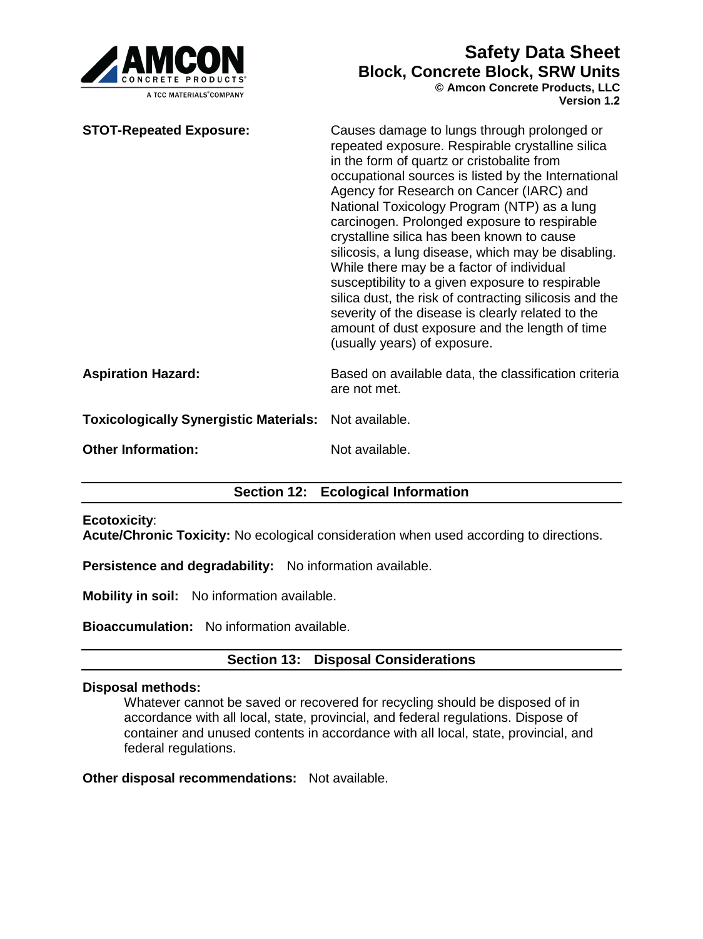

**Version 1.2**

| <b>STOT-Repeated Exposure:</b>                | Causes damage to lungs through prolonged or<br>repeated exposure. Respirable crystalline silica<br>in the form of quartz or cristobalite from<br>occupational sources is listed by the International<br>Agency for Research on Cancer (IARC) and<br>National Toxicology Program (NTP) as a lung<br>carcinogen. Prolonged exposure to respirable<br>crystalline silica has been known to cause<br>silicosis, a lung disease, which may be disabling.<br>While there may be a factor of individual<br>susceptibility to a given exposure to respirable<br>silica dust, the risk of contracting silicosis and the<br>severity of the disease is clearly related to the<br>amount of dust exposure and the length of time<br>(usually years) of exposure. |
|-----------------------------------------------|-------------------------------------------------------------------------------------------------------------------------------------------------------------------------------------------------------------------------------------------------------------------------------------------------------------------------------------------------------------------------------------------------------------------------------------------------------------------------------------------------------------------------------------------------------------------------------------------------------------------------------------------------------------------------------------------------------------------------------------------------------|
| <b>Aspiration Hazard:</b>                     | Based on available data, the classification criteria<br>are not met.                                                                                                                                                                                                                                                                                                                                                                                                                                                                                                                                                                                                                                                                                  |
| <b>Toxicologically Synergistic Materials:</b> | Not available.                                                                                                                                                                                                                                                                                                                                                                                                                                                                                                                                                                                                                                                                                                                                        |
| <b>Other Information:</b>                     | Not available.                                                                                                                                                                                                                                                                                                                                                                                                                                                                                                                                                                                                                                                                                                                                        |
|                                               |                                                                                                                                                                                                                                                                                                                                                                                                                                                                                                                                                                                                                                                                                                                                                       |

# **Section 12: Ecological Information**

#### **Ecotoxicity**:

**Acute/Chronic Toxicity:** No ecological consideration when used according to directions.

**Persistence and degradability:** No information available.

**Mobility in soil:** No information available.

**Bioaccumulation:** No information available.

#### **Section 13: Disposal Considerations**

#### **Disposal methods:**

Whatever cannot be saved or recovered for recycling should be disposed of in accordance with all local, state, provincial, and federal regulations. Dispose of container and unused contents in accordance with all local, state, provincial, and federal regulations.

**Other disposal recommendations:** Not available.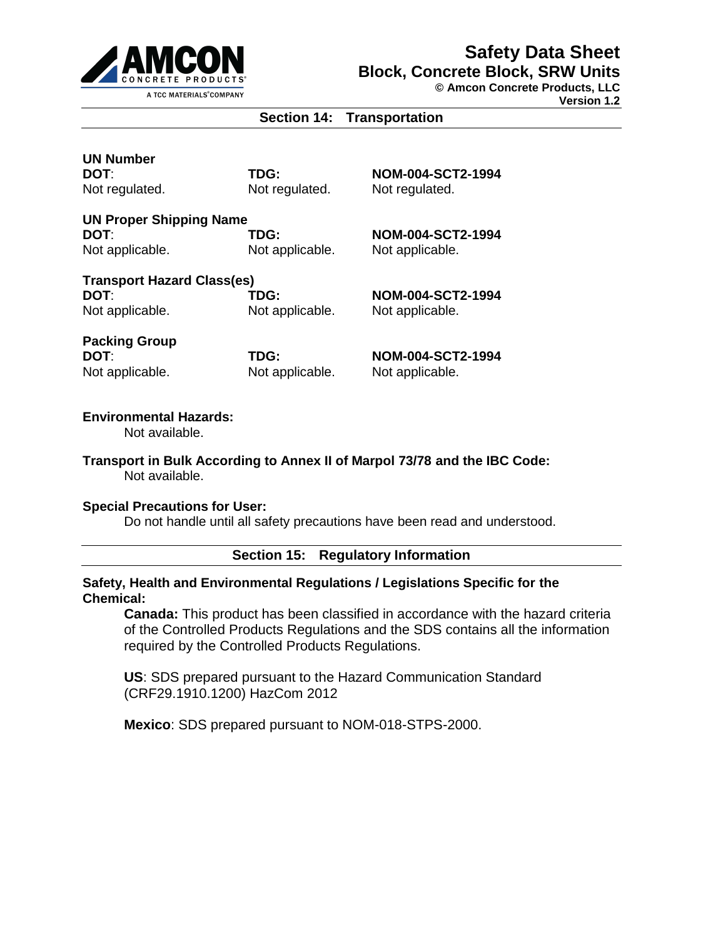

**© Amcon Concrete Products, LLC** 

**Version 1.2**

## **Section 14: Transportation**

**UN Number** 

Not regulated. Not regulated. Not regulated.

**DOT**: **TDG: NOM-004-SCT2-1994** 

**UN Proper Shipping Name DOT**: **TDG: NOM-004-SCT2-1994**  Not applicable. Not applicable. Not applicable.

**Transport Hazard Class(es) DOT**: **TDG: NOM-004-SCT2-1994**  Not applicable. Not applicable. Not applicable.

**Packing Group**  Not applicable. Not applicable. Not applicable.

**DOT**: **TDG: NOM-004-SCT2-1994** 

#### **Environmental Hazards:**

Not available.

**Transport in Bulk According to Annex II of Marpol 73/78 and the IBC Code:**  Not available.

#### **Special Precautions for User:**

Do not handle until all safety precautions have been read and understood.

**Section 15: Regulatory Information**

#### **Safety, Health and Environmental Regulations / Legislations Specific for the Chemical:**

**Canada:** This product has been classified in accordance with the hazard criteria of the Controlled Products Regulations and the SDS contains all the information required by the Controlled Products Regulations.

**US**: SDS prepared pursuant to the Hazard Communication Standard (CRF29.1910.1200) HazCom 2012

**Mexico**: SDS prepared pursuant to NOM-018-STPS-2000.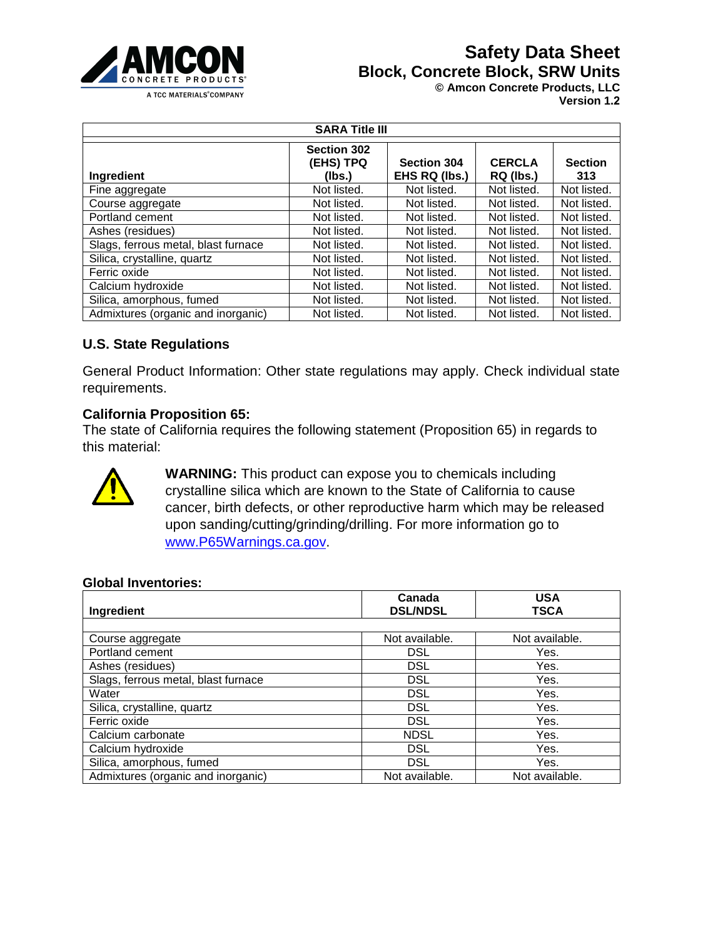

**© Amcon Concrete Products, LLC** 

**Version 1.2**

| <b>SARA Title III</b>               |                                           |                                     |                            |                       |
|-------------------------------------|-------------------------------------------|-------------------------------------|----------------------------|-----------------------|
| Ingredient                          | <b>Section 302</b><br>(EHS) TPQ<br>(Ibs.) | <b>Section 304</b><br>EHS RQ (lbs.) | <b>CERCLA</b><br>RQ (lbs.) | <b>Section</b><br>313 |
| Fine aggregate                      | Not listed.                               | Not listed.                         | Not listed.                | Not listed.           |
| Course aggregate                    | Not listed.                               | Not listed.                         | Not listed.                | Not listed.           |
| Portland cement                     | Not listed.                               | Not listed.                         | Not listed.                | Not listed.           |
| Ashes (residues)                    | Not listed.                               | Not listed.                         | Not listed.                | Not listed.           |
| Slags, ferrous metal, blast furnace | Not listed.                               | Not listed.                         | Not listed.                | Not listed.           |
| Silica, crystalline, quartz         | Not listed.                               | Not listed.                         | Not listed.                | Not listed.           |
| Ferric oxide                        | Not listed.                               | Not listed.                         | Not listed.                | Not listed.           |
| Calcium hydroxide                   | Not listed.                               | Not listed.                         | Not listed.                | Not listed.           |
| Silica, amorphous, fumed            | Not listed.                               | Not listed.                         | Not listed.                | Not listed.           |
| Admixtures (organic and inorganic)  | Not listed.                               | Not listed.                         | Not listed.                | Not listed.           |

#### **U.S. State Regulations**

General Product Information: Other state regulations may apply. Check individual state requirements.

#### **California Proposition 65:**

The state of California requires the following statement (Proposition 65) in regards to this material:



**WARNING:** This product can expose you to chemicals including crystalline silica which are known to the State of California to cause cancer, birth defects, or other reproductive harm which may be released upon sanding/cutting/grinding/drilling. For more information go to [www.P65Warnings.ca.gov.](http://www.p65warnings.ca.gov/)

#### **Global Inventories:**

| Ingredient                          | Canada<br><b>DSL/NDSL</b> | <b>USA</b><br><b>TSCA</b> |
|-------------------------------------|---------------------------|---------------------------|
|                                     |                           |                           |
| Course aggregate                    | Not available.            | Not available.            |
| Portland cement                     | <b>DSL</b>                | Yes.                      |
| Ashes (residues)                    | <b>DSL</b>                | Yes.                      |
| Slags, ferrous metal, blast furnace | <b>DSL</b>                | Yes.                      |
| Water                               | <b>DSL</b>                | Yes.                      |
| Silica, crystalline, quartz         | <b>DSL</b>                | Yes.                      |
| Ferric oxide                        | <b>DSL</b>                | Yes.                      |
| Calcium carbonate                   | <b>NDSL</b>               | Yes.                      |
| Calcium hydroxide                   | <b>DSL</b>                | Yes.                      |
| Silica, amorphous, fumed            | <b>DSL</b>                | Yes.                      |
| Admixtures (organic and inorganic)  | Not available.            | Not available.            |